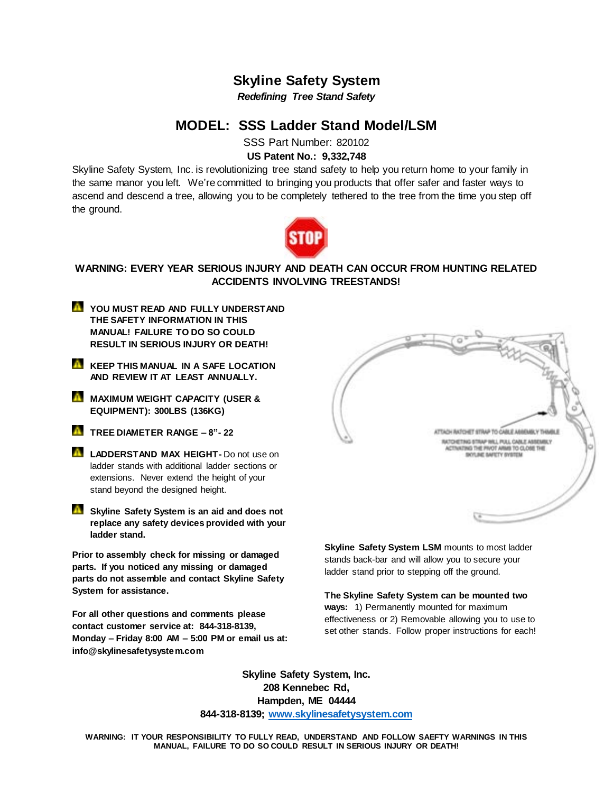# **Skyline Safety System**

*Redefining Tree Stand Safety*

# **MODEL: SSS Ladder Stand Model/LSM**

SSS Part Number: 820102

# **US Patent No.: 9,332,748**

Skyline Safety System, Inc. is revolutionizing tree stand safety to help you return home to your family in the same manor you left. We're committed to bringing you products that offer safer and faster ways to ascend and descend a tree, allowing you to be completely tethered to the tree from the time you step off the ground.



## **WARNING: EVERY YEAR SERIOUS INJURY AND DEATH CAN OCCUR FROM HUNTING RELATED ACCIDENTS INVOLVING TREESTANDS!**

- **YOU MUST READ AND FULLY UNDERSTAND THE SAFETY INFORMATION IN THIS MANUAL! FAILURE TO DO SO COULD RESULT IN SERIOUS INJURY OR DEATH!**
- **KEEP THIS MANUAL IN A SAFE LOCATION AND REVIEW IT AT LEAST ANNUALLY.**
- **M** MAXIMUM WEIGHT CAPACITY (USER & **EQUIPMENT): 300LBS (136KG)**
- **TREE DIAMETER RANGE – 8"- 22**
- **LADDERSTAND MAX HEIGHT-** Do not use on ladder stands with additional ladder sections or extensions. Never extend the height of your stand beyond the designed height.
- **K** Skyline Safety System is an aid and does not **replace any safety devices provided with your ladder stand.**

**Prior to assembly check for missing or damaged parts. If you noticed any missing or damaged parts do not assemble and contact Skyline Safety System for assistance.**

**For all other questions and comments please contact customer service at: 844-318-8139, Monday – Friday 8:00 AM – 5:00 PM or email us at: info@skylinesafetysystem.com**



**Skyline Safety System LSM mounts to most ladder** stands back-bar and will allow you to secure your ladder stand prior to stepping off the ground.

**The Skyline Safety System can be mounted two ways:** 1) Permanently mounted for maximum effectiveness or 2) Removable allowing you to use to set other stands. Follow proper instructions for each!

**Skyline Safety System, Inc. 208 Kennebec Rd, Hampden, ME 04444 844-318-8139; [www.skylinesafetysystem.com](http://www.skylinesafetysystem.com/)**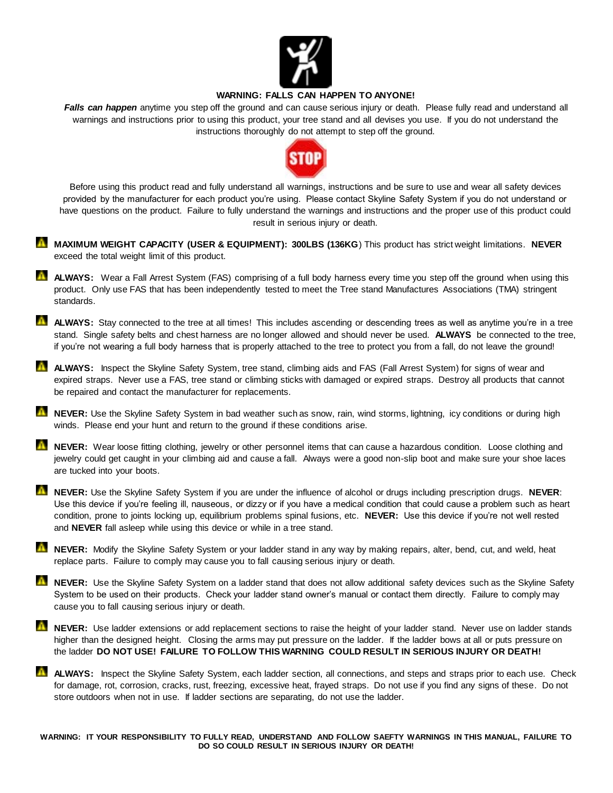

## **WARNING: FALLS CAN HAPPEN TO ANYONE!**

*Falls can happen* anytime you step off the ground and can cause serious injury or death. Please fully read and understand all warnings and instructions prior to using this product, your tree stand and all devises you use. If you do not understand the instructions thoroughly do not attempt to step off the ground.



Before using this product read and fully understand all warnings, instructions and be sure to use and wear all safety devices provided by the manufacturer for each product you're using. Please contact Skyline Safety System if you do not understand or have questions on the product. Failure to fully understand the warnings and instructions and the proper use of this product could result in serious injury or death.

- **MAXIMUM WEIGHT CAPACITY (USER & EQUIPMENT): 300LBS (136KG)** This product has strict weight limitations. NEVER exceed the total weight limit of this product.
- **ALWAYS:** Wear a Fall Arrest System (FAS) comprising of a full body harness every time you step off the ground when using this product. Only use FAS that has been independently tested to meet the Tree stand Manufactures Associations (TMA) stringent standards.
- **ALWAYS:** Stay connected to the tree at all times! This includes ascending or descending trees as well as anytime you're in a tree stand. Single safety belts and chest harness are no longer allowed and should never be used. **ALWAYS** be connected to the tree, if you're not wearing a full body harness that is properly attached to the tree to protect you from a fall, do not leave the ground!
- **ALWAYS:** Inspect the Skyline Safety System, tree stand, climbing aids and FAS (Fall Arrest System) for signs of wear and expired straps. Never use a FAS, tree stand or climbing sticks with damaged or expired straps. Destroy all products that cannot be repaired and contact the manufacturer for replacements.
- **NEVER:** Use the Skyline Safety System in bad weather such as snow, rain, wind storms, lightning, icy conditions or during high winds. Please end your hunt and return to the ground if these conditions arise.
- **NEVER:** Wear loose fitting clothing, jewelry or other personnel items that can cause a hazardous condition. Loose clothing and jewelry could get caught in your climbing aid and cause a fall. Always were a good non-slip boot and make sure your shoe laces are tucked into your boots.
- **NEVER:** Use the Skyline Safety System if you are under the influence of alcohol or drugs including prescription drugs. **NEVER**: Use this device if you're feeling ill, nauseous, or dizzy or if you have a medical condition that could cause a problem such as heart condition, prone to joints locking up, equilibrium problems spinal fusions, etc. **NEVER:** Use this device if you're not well rested and **NEVER** fall asleep while using this device or while in a tree stand.
- **NEVER:** Modify the Skyline Safety System or your ladder stand in any way by making repairs, alter, bend, cut, and weld, heat replace parts. Failure to comply may cause you to fall causing serious injury or death.
- **NEVER:** Use the Skyline Safety System on a ladder stand that does not allow additional safety devices such as the Skyline Safety System to be used on their products. Check your ladder stand owner's manual or contact them directly. Failure to comply may cause you to fall causing serious injury or death.
- **NEVER:** Use ladder extensions or add replacement sections to raise the height of your ladder stand. Never use on ladder stands higher than the designed height. Closing the arms may put pressure on the ladder. If the ladder bows at all or puts pressure on the ladder **DO NOT USE! FAILURE TO FOLLOW THIS WARNING COULD RESULT IN SERIOUS INJURY OR DEATH!**
- **ALWAYS:** Inspect the Skyline Safety System, each ladder section, all connections, and steps and straps prior to each use. Check for damage, rot, corrosion, cracks, rust, freezing, excessive heat, frayed straps. Do not use if you find any signs of these. Do not store outdoors when not in use. If ladder sections are separating, do not use the ladder.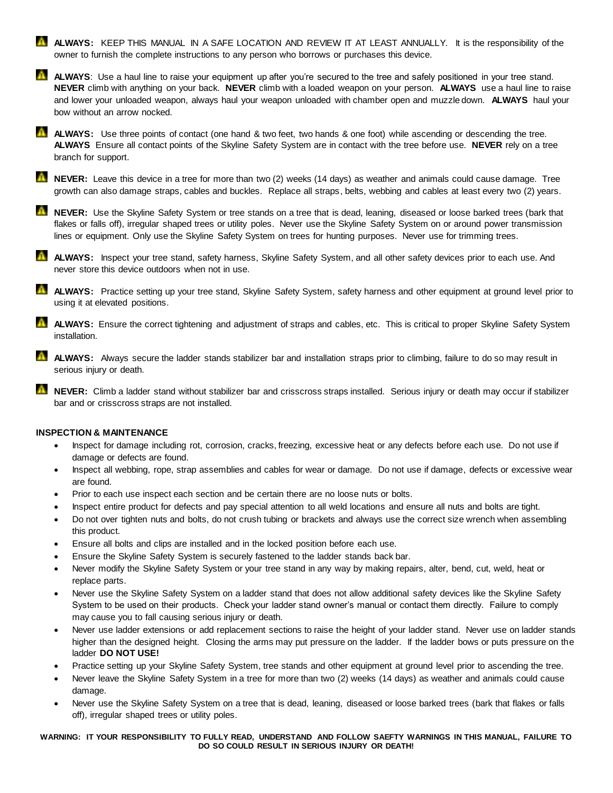- **ALWAYS:** KEEP THIS MANUAL IN A SAFE LOCATION AND REVIEW IT AT LEAST ANNUALLY. It is the responsibility of the owner to furnish the complete instructions to any person who borrows or purchases this device.
- **ALWAYS:** Use a haul line to raise your equipment up after you're secured to the tree and safely positioned in your tree stand. **NEVER** climb with anything on your back. **NEVER** climb with a loaded weapon on your person. **ALWAYS** use a haul line to raise and lower your unloaded weapon, always haul your weapon unloaded with chamber open and muzzle down. **ALWAYS** haul your bow without an arrow nocked.
- **ALWAYS:** Use three points of contact (one hand & two feet, two hands & one foot) while ascending or descending the tree. **ALWAYS** Ensure all contact points of the Skyline Safety System are in contact with the tree before use. **NEVER** rely on a tree branch for support.
- **NEVER:** Leave this device in a tree for more than two (2) weeks (14 days) as weather and animals could cause damage. Tree growth can also damage straps, cables and buckles. Replace all straps, belts, webbing and cables at least every two (2) years.
- **NEVER:** Use the Skyline Safety System or tree stands on a tree that is dead, leaning, diseased or loose barked trees (bark that flakes or falls off), irregular shaped trees or utility poles. Never use the Skyline Safety System on or around power transmission lines or equipment. Only use the Skyline Safety System on trees for hunting purposes. Never use for trimming trees.
- **ALWAYS:** Inspect your tree stand, safety harness, Skyline Safety System, and all other safety devices prior to each use. And never store this device outdoors when not in use.
- **ALWAYS:** Practice setting up your tree stand, Skyline Safety System, safety harness and other equipment at ground level prior to using it at elevated positions.
- **ALWAYS:** Ensure the correct tightening and adjustment of straps and cables, etc. This is critical to proper Skyline Safety System installation.
- **ALWAYS:** Always secure the ladder stands stabilizer bar and installation straps prior to climbing, failure to do so may result in serious injury or death.
- **NEVER:** Climb a ladder stand without stabilizer bar and crisscross straps installed. Serious injury or death may occur if stabilizer bar and or crisscross straps are not installed.

## **INSPECTION & MAINTENANCE**

- Inspect for damage including rot, corrosion, cracks, freezing, excessive heat or any defects before each use. Do not use if damage or defects are found.
- Inspect all webbing, rope, strap assemblies and cables for wear or damage. Do not use if damage, defects or excessive wear are found.
- Prior to each use inspect each section and be certain there are no loose nuts or bolts.
- Inspect entire product for defects and pay special attention to all weld locations and ensure all nuts and bolts are tight.
- Do not over tighten nuts and bolts, do not crush tubing or brackets and always use the correct size wrench when assembling this product.
- Ensure all bolts and clips are installed and in the locked position before each use.
- Ensure the Skyline Safety System is securely fastened to the ladder stands back bar.
- Never modify the Skyline Safety System or your tree stand in any way by making repairs, alter, bend, cut, weld, heat or replace parts.
- Never use the Skyline Safety System on a ladder stand that does not allow additional safety devices like the Skyline Safety System to be used on their products. Check your ladder stand owner's manual or contact them directly. Failure to comply may cause you to fall causing serious injury or death.
- Never use ladder extensions or add replacement sections to raise the height of your ladder stand. Never use on ladder stands higher than the designed height. Closing the arms may put pressure on the ladder. If the ladder bows or puts pressure on the ladder **DO NOT USE!**
- Practice setting up your Skyline Safety System, tree stands and other equipment at ground level prior to ascending the tree.
- Never leave the Skyline Safety System in a tree for more than two (2) weeks (14 days) as weather and animals could cause damage.
- Never use the Skyline Safety System on a tree that is dead, leaning, diseased or loose barked trees (bark that flakes or falls off), irregular shaped trees or utility poles.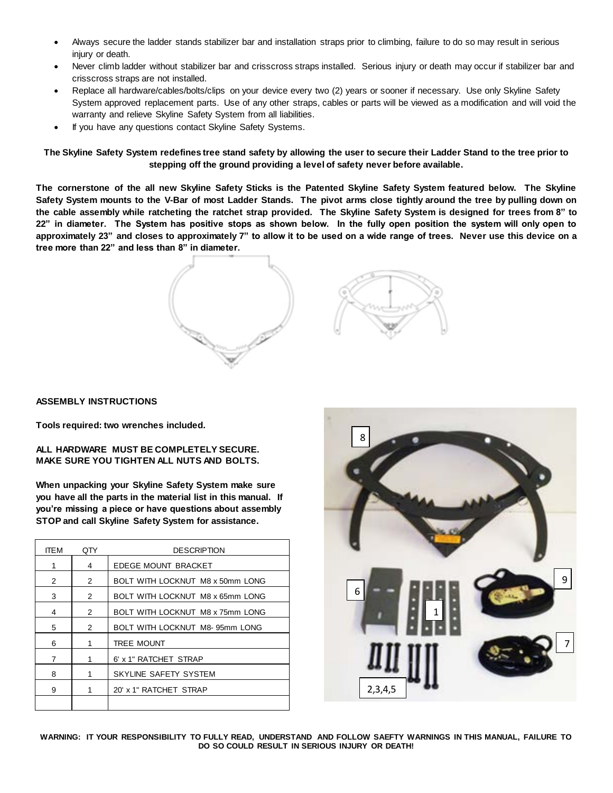- Always secure the ladder stands stabilizer bar and installation straps prior to climbing, failure to do so may result in serious injury or death.
- Never climb ladder without stabilizer bar and crisscross straps installed. Serious injury or death may occur if stabilizer bar and crisscross straps are not installed.
- Replace all hardware/cables/bolts/clips on your device every two (2) years or sooner if necessary. Use only Skyline Safety System approved replacement parts. Use of any other straps, cables or parts will be viewed as a modification and will void the warranty and relieve Skyline Safety System from all liabilities.
- If you have any questions contact Skyline Safety Systems.

**The Skyline Safety System redefines tree stand safety by allowing the user to secure their Ladder Stand to the tree prior to stepping off the ground providing a level of safety never before available.**

**The cornerstone of the all new Skyline Safety Sticks is the Patented Skyline Safety System featured below. The Skyline Safety System mounts to the V-Bar of most Ladder Stands. The pivot arms close tightly around the tree by pulling down on the cable assembly while ratcheting the ratchet strap provided. The Skyline Safety System is designed for trees from 8" to 22" in diameter. The System has positive stops as shown below. In the fully open position the system will only open to approximately 23" and closes to approximately 7" to allow it to be used on a wide range of trees. Never use this device on a tree more than 22" and less than 8" in diameter.**



### **ASSEMBLY INSTRUCTIONS**

**Tools required: two wrenches included.**

### **ALL HARDWARE MUST BE COMPLETELY SECURE. MAKE SURE YOU TIGHTEN ALL NUTS AND BOLTS.**

**When unpacking your Skyline Safety System make sure you have all the parts in the material list in this manual. If you're missing a piece or have questions about assembly STOP and call Skyline Safety System for assistance.**

| <b>ITEM</b> | 0TY           | <b>DESCRIPTION</b>               |
|-------------|---------------|----------------------------------|
| 1           | 4             | EDEGE MOUNT BRACKET              |
| 2           | 2             | BOLT WITH LOCKNUT M8 x 50mm LONG |
| 3           | 2             | BOLT WITH LOCKNUT M8 x 65mm LONG |
| 4           | $\mathcal{P}$ | BOLT WITH LOCKNUT M8 x 75mm LONG |
| 5           | 2             | BOLT WITH LOCKNUT M8-95mm LONG   |
| 6           | 1             | <b>TREE MOUNT</b>                |
| 7           | 1             | 6' x 1" RATCHET STRAP            |
| 8           | 1             | SKYLINE SAFETY SYSTEM            |
| 9           |               | 20' x 1" RATCHET STRAP           |
|             |               |                                  |

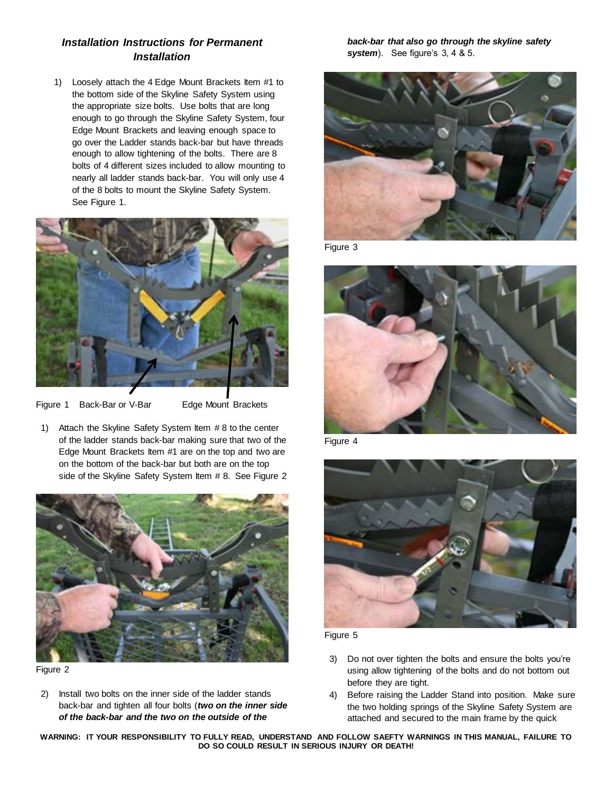# *Installation Instructions for Permanent Installation*

1) Loosely attach the 4 Edge Mount Brackets Item #1 to the bottom side of the Skyline Safety System using the appropriate size bolts. Use bolts that are long enough to go through the Skyline Safety System, four Edge Mount Brackets and leaving enough space to go over the Ladder stands back-bar but have threads enough to allow tightening of the bolts. There are 8 bolts of 4 different sizes included to allow mounting to nearly all ladder stands back-bar. You will only use 4 of the 8 bolts to mount the Skyline Safety System. See Figure 1.



Figure 1 Back-Bar or V-Bar Edge Mount Brackets

1) Attach the Skyline Safety System Item # 8 to the center of the ladder stands back-bar making sure that two of the Edge Mount Brackets Item #1 are on the top and two are on the bottom of the back-bar but both are on the top side of the Skyline Safety System Item # 8. See Figure 2



Figure 2

2) Install two bolts on the inner side of the ladder stands back-bar and tighten all four bolts (*two on the inner side of the back-bar and the two on the outside of the* 

*back-bar that also go through the skyline safety system*). See figure's 3, 4 & 5.



Figure 3



Figure 4



Figure 5

- 3) Do not over tighten the bolts and ensure the bolts you're using allow tightening of the bolts and do not bottom out before they are tight.
- 4) Before raising the Ladder Stand into position. Make sure the two holding springs of the Skyline Safety System are attached and secured to the main frame by the quick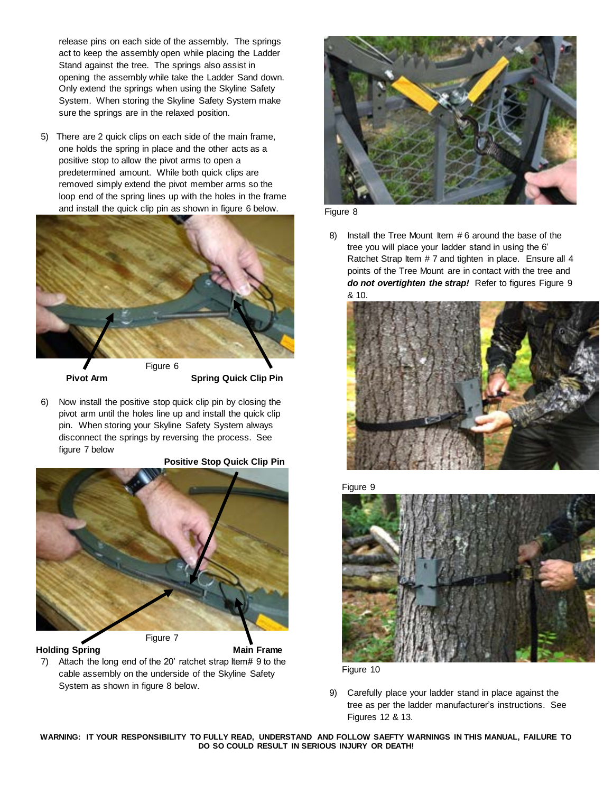release pins on each side of the assembly. The springs act to keep the assembly open while placing the Ladder Stand against the tree. The springs also assist in opening the assembly while take the Ladder Sand down. Only extend the springs when using the Skyline Safety System. When storing the Skyline Safety System make sure the springs are in the relaxed position.

5) There are 2 quick clips on each side of the main frame, one holds the spring in place and the other acts as a positive stop to allow the pivot arms to open a predetermined amount. While both quick clips are removed simply extend the pivot member arms so the loop end of the spring lines up with the holes in the frame and install the quick clip pin as shown in figure 6 below.



**Pivot Arm Spring Quick Clip Pin** 

6) Now install the positive stop quick clip pin by closing the pivot arm until the holes line up and install the quick clip pin. When storing your Skyline Safety System always disconnect the springs by reversing the process. See figure 7 below

 **Positive Stop Quick Clip Pin**



**Holding Spring Main Frame** 

7) Attach the long end of the 20' ratchet strap Item# 9 to the cable assembly on the underside of the Skyline Safety System as shown in figure 8 below.



Figure 8

8) Install the Tree Mount Item # 6 around the base of the tree you will place your ladder stand in using the 6' Ratchet Strap Item # 7 and tighten in place. Ensure all 4 points of the Tree Mount are in contact with the tree and *do not overtighten the strap!* Refer to figures Figure 9 & 10.



Figure 9



Figure 10

<sup>9)</sup> Carefully place your ladder stand in place against the tree as per the ladder manufacturer's instructions. See Figures 12 & 13.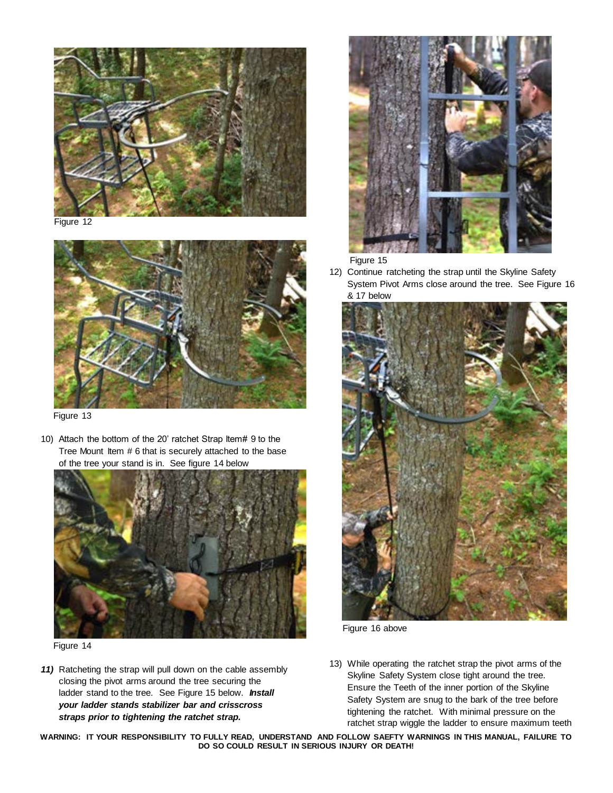

Figure 12



Figure 13

10) Attach the bottom of the 20' ratchet Strap Item# 9 to the Tree Mount Item # 6 that is securely attached to the base of the tree your stand is in. See figure 14 below



Figure 14

*11)* Ratcheting the strap will pull down on the cable assembly closing the pivot arms around the tree securing the ladder stand to the tree. See Figure 15 below. *Install your ladder stands stabilizer bar and crisscross straps prior to tightening the ratchet strap.*



Figure 15

12) Continue ratcheting the strap until the Skyline Safety System Pivot Arms close around the tree. See Figure 16 & 17 below



Figure 16 above

13) While operating the ratchet strap the pivot arms of the Skyline Safety System close tight around the tree. Ensure the Teeth of the inner portion of the Skyline Safety System are snug to the bark of the tree before tightening the ratchet. With minimal pressure on the ratchet strap wiggle the ladder to ensure maximum teeth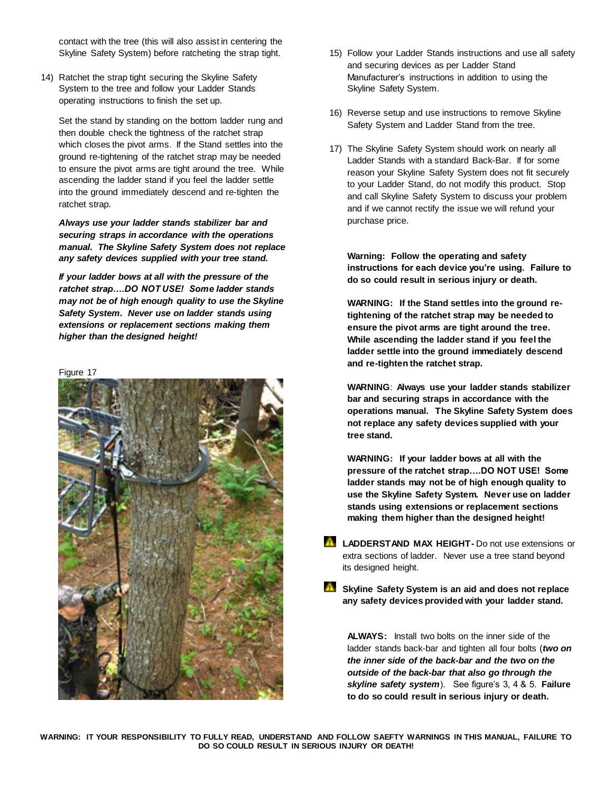contact with the tree (this will also assist in centering the Skyline Safety System) before ratcheting the strap tight.

14) Ratchet the strap tight securing the Skyline Safety System to the tree and follow your Ladder Stands operating instructions to finish the set up.

Set the stand by standing on the bottom ladder rung and then double check the tightness of the ratchet strap which closes the pivot arms. If the Stand settles into the ground re-tightening of the ratchet strap may be needed to ensure the pivot arms are tight around the tree. While ascending the ladder stand if you feel the ladder settle into the ground immediately descend and re-tighten the ratchet strap.

*Always use your ladder stands stabilizer bar and securing straps in accordance with the operations manual. The Skyline Safety System does not replace any safety devices supplied with your tree stand.*

*If your ladder bows at all with the pressure of the ratchet strap….DO NOT USE! Some ladder stands may not be of high enough quality to use the Skyline Safety System. Never use on ladder stands using extensions or replacement sections making them higher than the designed height!*

#### Figure 17



- 15) Follow your Ladder Stands instructions and use all safety and securing devices as per Ladder Stand Manufacturer's instructions in addition to using the Skyline Safety System.
- 16) Reverse setup and use instructions to remove Skyline Safety System and Ladder Stand from the tree.
- 17) The Skyline Safety System should work on nearly all Ladder Stands with a standard Back-Bar. If for some reason your Skyline Safety System does not fit securely to your Ladder Stand, do not modify this product. Stop and call Skyline Safety System to discuss your problem and if we cannot rectify the issue we will refund your purchase price.

**Warning: Follow the operating and safety instructions for each device you're using. Failure to do so could result in serious injury or death.**

**WARNING: If the Stand settles into the ground retightening of the ratchet strap may be needed to ensure the pivot arms are tight around the tree. While ascending the ladder stand if you feel the ladder settle into the ground immediately descend and re-tighten the ratchet strap.**

**WARNING**: **Always use your ladder stands stabilizer bar and securing straps in accordance with the operations manual. The Skyline Safety System does not replace any safety devices supplied with your tree stand.**

**WARNING: If your ladder bows at all with the pressure of the ratchet strap….DO NOT USE! Some ladder stands may not be of high enough quality to use the Skyline Safety System. Never use on ladder stands using extensions or replacement sections making them higher than the designed height!**

- **LADDERSTAND MAX HEIGHT-** Do not use extensions or extra sections of ladder. Never use a tree stand beyond its designed height.
- **Skyline Safety System is an aid and does not replace any safety devices provided with your ladder stand.**

**ALWAYS:** Install two bolts on the inner side of the ladder stands back-bar and tighten all four bolts (*two on the inner side of the back-bar and the two on the outside of the back-bar that also go through the skyline safety system*). See figure's 3, 4 & 5. **Failure to do so could result in serious injury or death.**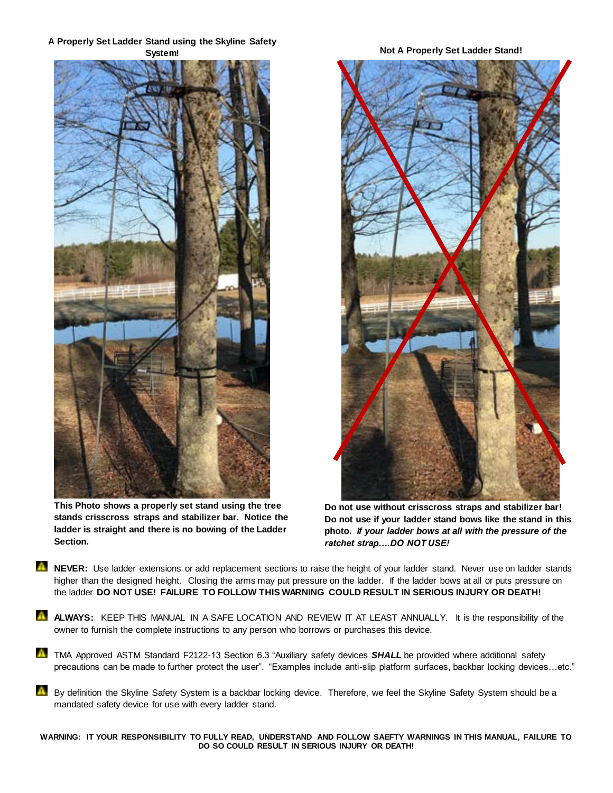## **A Properly Set Ladder Stand using the Skyline Safety System! Not A Properly Set Ladder Stand!**



**This Photo shows a properly set stand using the tree stands crisscross straps and stabilizer bar. Notice the ladder is straight and there is no bowing of the Ladder Section.** 



**Do not use without crisscross straps and stabilizer bar! Do not use if your ladder stand bows like the stand in this photo.** *If your ladder bows at all with the pressure of the ratchet strap….DO NOT USE!* 

- **NEVER:** Use ladder extensions or add replacement sections to raise the height of your ladder stand. Never use on ladder stands higher than the designed height. Closing the arms may put pressure on the ladder. If the ladder bows at all or puts pressure on the ladder **DO NOT USE! FAILURE TO FOLLOW THIS WARNING COULD RESULT IN SERIOUS INJURY OR DEATH!**
- **ALWAYS:** KEEP THIS MANUAL IN A SAFE LOCATION AND REVIEW IT AT LEAST ANNUALLY. It is the responsibility of the owner to furnish the complete instructions to any person who borrows or purchases this device.
- TMA Approved ASTM Standard F2122-13 Section 6.3 "Auxiliary safety devices **SHALL** be provided where additional safety precautions can be made to further protect the user". "Examples include anti-slip platform surfaces, backbar locking devices…etc."
- A By definition the Skyline Safety System is a backbar locking device. Therefore, we feel the Skyline Safety System should be a mandated safety device for use with every ladder stand.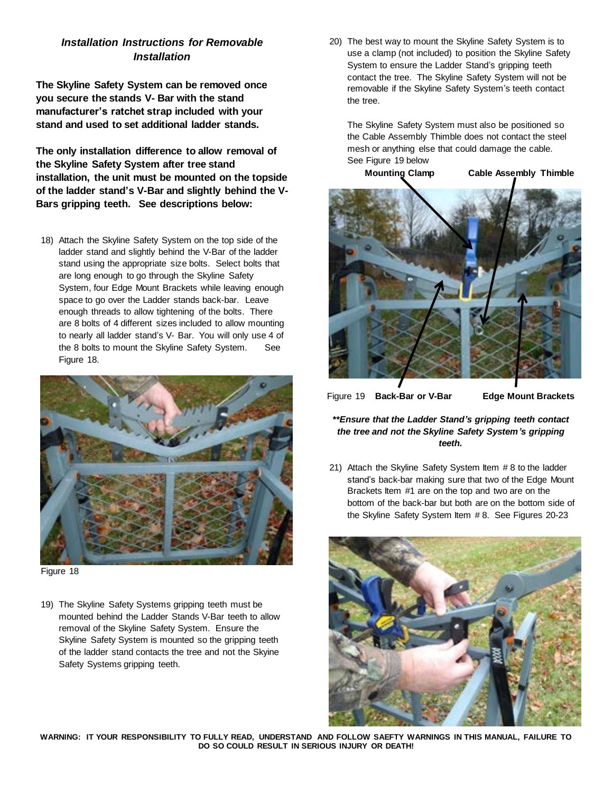# *Installation Instructions for Removable Installation*

**The Skyline Safety System can be removed once you secure the stands V- Bar with the stand manufacturer's ratchet strap included with your stand and used to set additional ladder stands.**

**The only installation difference to allow removal of the Skyline Safety System after tree stand installation, the unit must be mounted on the topside of the ladder stand's V-Bar and slightly behind the V-Bars gripping teeth. See descriptions below:**

18) Attach the Skyline Safety System on the top side of the ladder stand and slightly behind the V-Bar of the ladder stand using the appropriate size bolts. Select bolts that are long enough to go through the Skyline Safety System, four Edge Mount Brackets while leaving enough space to go over the Ladder stands back-bar. Leave enough threads to allow tightening of the bolts. There are 8 bolts of 4 different sizes included to allow mounting to nearly all ladder stand's V- Bar. You will only use 4 of the 8 bolts to mount the Skyline Safety System. See Figure 18.



Figure 18

19) The Skyline Safety Systems gripping teeth must be mounted behind the Ladder Stands V-Bar teeth to allow removal of the Skyline Safety System. Ensure the Skyline Safety System is mounted so the gripping teeth of the ladder stand contacts the tree and not the Skyine Safety Systems gripping teeth.

20) The best way to mount the Skyline Safety System is to use a clamp (not included) to position the Skyline Safety System to ensure the Ladder Stand's gripping teeth contact the tree. The Skyline Safety System will not be removable if the Skyline Safety System's teeth contact the tree.

The Skyline Safety System must also be positioned so the Cable Assembly Thimble does not contact the steel mesh or anything else that could damage the cable. See Figure 19 below

**Mounting Clamp Cable Assembly Thimble**



Figure 19 **Back-Bar or V-Bar Edge Mount Brackets**

## *\*\*Ensure that the Ladder Stand's gripping teeth contact the tree and not the Skyline Safety System's gripping teeth.*

21) Attach the Skyline Safety System Item # 8 to the ladder stand's back-bar making sure that two of the Edge Mount Brackets Item #1 are on the top and two are on the bottom of the back-bar but both are on the bottom side of the Skyline Safety System Item # 8. See Figures 20-23

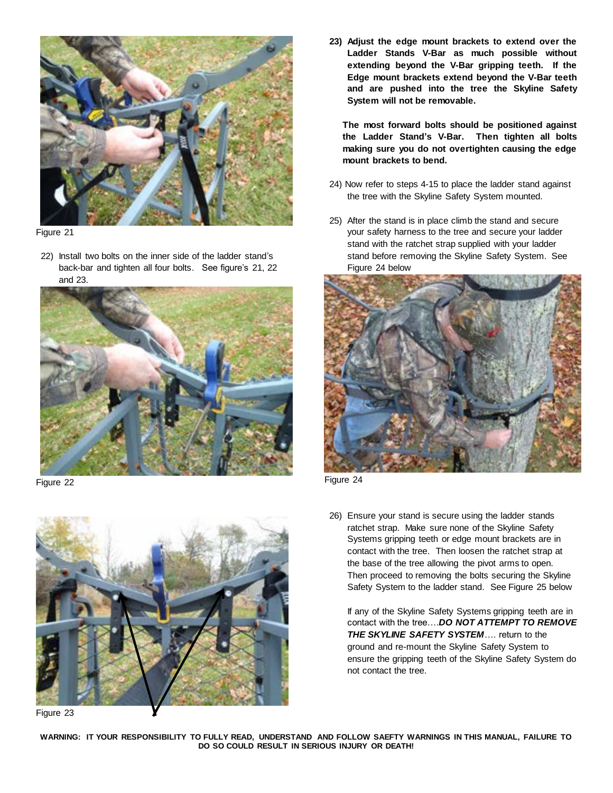

Figure 21

22) Install two bolts on the inner side of the ladder stand's back-bar and tighten all four bolts. See figure's 21, 22 and 23.



Figure 22



Figure 23

**23) Adjust the edge mount brackets to extend over the Ladder Stands V-Bar as much possible without extending beyond the V-Bar gripping teeth. If the Edge mount brackets extend beyond the V-Bar teeth and are pushed into the tree the Skyline Safety System will not be removable.**

**The most forward bolts should be positioned against the Ladder Stand's V-Bar. Then tighten all bolts making sure you do not overtighten causing the edge mount brackets to bend.**

- 24) Now refer to steps 4-15 to place the ladder stand against the tree with the Skyline Safety System mounted.
- 25) After the stand is in place climb the stand and secure your safety harness to the tree and secure your ladder stand with the ratchet strap supplied with your ladder stand before removing the Skyline Safety System. See Figure 24 below



Figure 24

26) Ensure your stand is secure using the ladder stands ratchet strap. Make sure none of the Skyline Safety Systems gripping teeth or edge mount brackets are in contact with the tree. Then loosen the ratchet strap at the base of the tree allowing the pivot arms to open. Then proceed to removing the bolts securing the Skyline Safety System to the ladder stand. See Figure 25 below

If any of the Skyline Safety Systems gripping teeth are in contact with the tree….*DO NOT ATTEMPT TO REMOVE THE SKYLINE SAFETY SYSTEM*…. return to the ground and re-mount the Skyline Safety System to ensure the gripping teeth of the Skyline Safety System do not contact the tree.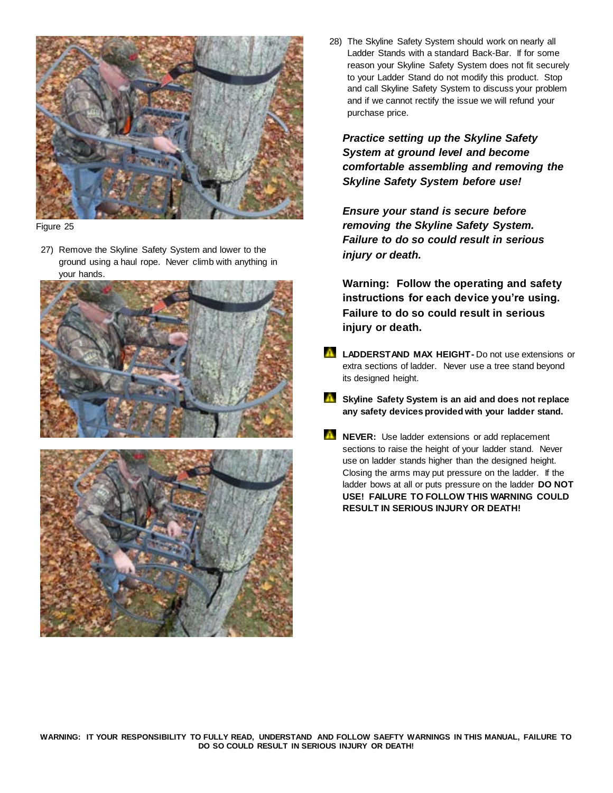

Figure 25

27) Remove the Skyline Safety System and lower to the ground using a haul rope. Never climb with anything in your hands.





28) The Skyline Safety System should work on nearly all Ladder Stands with a standard Back-Bar. If for some reason your Skyline Safety System does not fit securely to your Ladder Stand do not modify this product. Stop and call Skyline Safety System to discuss your problem and if we cannot rectify the issue we will refund your purchase price.

*Practice setting up the Skyline Safety System at ground level and become comfortable assembling and removing the Skyline Safety System before use!*

*Ensure your stand is secure before removing the Skyline Safety System. Failure to do so could result in serious injury or death.*

**Warning: Follow the operating and safety instructions for each device you're using. Failure to do so could result in serious injury or death.**

- **LADDERSTAND MAX HEIGHT-** Do not use extensions or extra sections of ladder. Never use a tree stand beyond its designed height.
- **Skyline Safety System is an aid and does not replace any safety devices provided with your ladder stand.**
- **NEVER:** Use ladder extensions or add replacement sections to raise the height of your ladder stand. Never use on ladder stands higher than the designed height. Closing the arms may put pressure on the ladder. If the ladder bows at all or puts pressure on the ladder **DO NOT USE! FAILURE TO FOLLOW THIS WARNING COULD RESULT IN SERIOUS INJURY OR DEATH!**